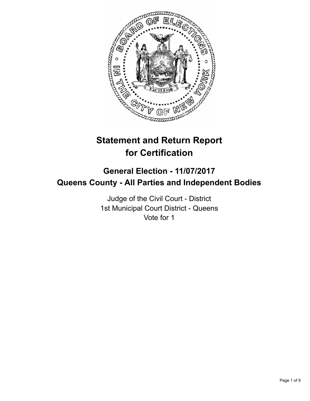

# **Statement and Return Report for Certification**

## **General Election - 11/07/2017 Queens County - All Parties and Independent Bodies**

Judge of the Civil Court - District 1st Municipal Court District - Queens Vote for 1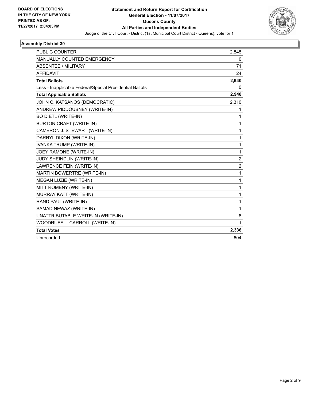

| <b>PUBLIC COUNTER</b>                                    | 2.845                   |
|----------------------------------------------------------|-------------------------|
| MANUALLY COUNTED EMERGENCY                               | 0                       |
| <b>ABSENTEE / MILITARY</b>                               | 71                      |
| <b>AFFIDAVIT</b>                                         | 24                      |
| <b>Total Ballots</b>                                     | 2,940                   |
| Less - Inapplicable Federal/Special Presidential Ballots | 0                       |
| <b>Total Applicable Ballots</b>                          | 2,940                   |
| JOHN C. KATSANOS (DEMOCRATIC)                            | 2,310                   |
| ANDREW PIDDOUBNEY (WRITE-IN)                             | 1                       |
| <b>BO DIETL (WRITE-IN)</b>                               | 1                       |
| <b>BURTON CRAFT (WRITE-IN)</b>                           | 1                       |
| CAMERON J. STEWART (WRITE-IN)                            | $\mathbf{1}$            |
| DARRYL DIXON (WRITE-IN)                                  | $\mathbf{1}$            |
| <b>IVANKA TRUMP (WRITE-IN)</b>                           | $\mathbf{1}$            |
| JOEY RAMONE (WRITE-IN)                                   | $\mathbf{1}$            |
| JUDY SHEINDLIN (WRITE-IN)                                | $\overline{2}$          |
| LAWRENCE FEIN (WRITE-IN)                                 | $\overline{\mathbf{c}}$ |
| <b>MARTIN BOWERTRE (WRITE-IN)</b>                        | $\mathbf{1}$            |
| MEGAN LUZIE (WRITE-IN)                                   | $\mathbf{1}$            |
| MITT ROMENY (WRITE-IN)                                   | 1                       |
| MURRAY KATT (WRITE-IN)                                   | $\mathbf{1}$            |
| RAND PAUL (WRITE-IN)                                     | $\mathbf{1}$            |
| SAMAD NEWAZ (WRITE-IN)                                   | $\mathbf{1}$            |
| UNATTRIBUTABLE WRITE-IN (WRITE-IN)                       | 8                       |
| WOODRUFF L. CARROLL (WRITE-IN)                           | 1                       |
| <b>Total Votes</b>                                       | 2,336                   |
| Unrecorded                                               | 604                     |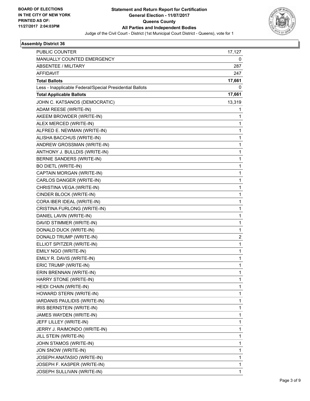

| PUBLIC COUNTER                                           | 17,127       |
|----------------------------------------------------------|--------------|
| MANUALLY COUNTED EMERGENCY                               | 0            |
| <b>ABSENTEE / MILITARY</b>                               | 287          |
| <b>AFFIDAVIT</b>                                         | 247          |
| <b>Total Ballots</b>                                     | 17,661       |
| Less - Inapplicable Federal/Special Presidential Ballots | 0            |
| <b>Total Applicable Ballots</b>                          | 17,661       |
| JOHN C. KATSANOS (DEMOCRATIC)                            | 13,319       |
| ADAM REESE (WRITE-IN)                                    | 1            |
| AKEEM BROWDER (WRITE-IN)                                 | 1            |
| ALEX MERCED (WRITE-IN)                                   | 1            |
| ALFRED E. NEWMAN (WRITE-IN)                              | 1            |
| ALISHA BACCHUS (WRITE-IN)                                | 1            |
| ANDREW GROSSMAN (WRITE-IN)                               | 1            |
| ANTHONY J. BULLDIS (WRITE-IN)                            | 1            |
| BERNIE SANDERS (WRITE-IN)                                | 1            |
| <b>BO DIETL (WRITE-IN)</b>                               | 1            |
| CAPTAIN MORGAN (WRITE-IN)                                | 1            |
| CARLOS DANGER (WRITE-IN)                                 | 1            |
| CHRISTINA VEGA (WRITE-IN)                                | 1            |
| CINDER BLOCK (WRITE-IN)                                  | 1            |
| CORA IBER IDEAL (WRITE-IN)                               | 1            |
| CRISTINA FURLONG (WRITE-IN)                              | 1            |
| DANIEL LAVIN (WRITE-IN)                                  | 1            |
| DAVID STIMMER (WRITE-IN)                                 | 1            |
| DONALD DUCK (WRITE-IN)                                   | $\mathbf{1}$ |
| DONALD TRUMP (WRITE-IN)                                  | 2            |
| ELLIOT SPITZER (WRITE-IN)                                | 1            |
| EMILY NGO (WRITE-IN)                                     | 1            |
| EMILY R. DAVIS (WRITE-IN)                                | 1            |
| ERIC TRUMP (WRITE-IN)                                    | 1            |
| ERIN BRENNAN (WRITE-IN)                                  | 1            |
| HARRY STONE (WRITE-IN)                                   | 1            |
| HEIDI CHAIN (WRITE-IN)                                   | 1            |
| HOWARD STERN (WRITE-IN)                                  | 1            |
| IARDANIS PAULIDIS (WRITE-IN)                             | 1            |
| IRIS BERNSTEIN (WRITE-IN)                                | 1            |
| JAMES WAYDEN (WRITE-IN)                                  | 1            |
| JEFF LILLEY (WRITE-IN)                                   | 1            |
| JERRY J. RAIMONDO (WRITE-IN)                             | 1            |
| JILL STEIN (WRITE-IN)                                    | 1            |
| JOHN STAMOS (WRITE-IN)                                   | 1            |
| JON SNOW (WRITE-IN)                                      | 1            |
| JOSEPH ANATASIO (WRITE-IN)                               | 1            |
| JOSEPH F. KASPER (WRITE-IN)                              | 1            |
| JOSEPH SULLIVAN (WRITE-IN)                               | 1            |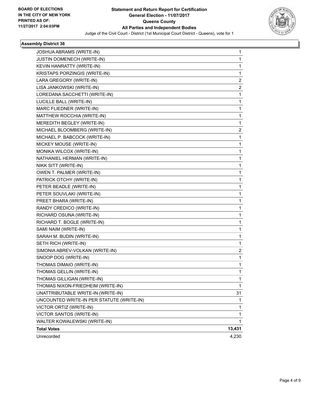

| JOSHUA ABRAMS (WRITE-IN)<br>JUSTIN DOMENECH (WRITE-IN) | 1<br>1 |
|--------------------------------------------------------|--------|
| KEVIN HANRATTY (WRITE-IN)                              | 1      |
| KRISTAPS PORZINGIS (WRITE-IN)                          | 1      |
| LARA GREGORY (WRITE-IN)                                | 2      |
| LISA JANKOWSKI (WRITE-IN)                              | 2      |
| LOREDANA SACCHETTI (WRITE-IN)                          | 1      |
| LUCILLE BALL (WRITE-IN)                                | 1      |
| MARC FLIEDNER (WRITE-IN)                               | 1      |
| MATTHEW ROCCHIA (WRITE-IN)                             | 1      |
| MEREDITH BEGLEY (WRITE-IN)                             | 1      |
| MICHAEL BLOOMBERG (WRITE-IN)                           | 2      |
| MICHAEL P. BABCOCK (WRITE-IN)                          | 1      |
| MICKEY MOUSE (WRITE-IN)                                | 1      |
| MONIKA WILCOX (WRITE-IN)                               | 1      |
| NATHANIEL HERMAN (WRITE-IN)                            | 1      |
| NIKK SITT (WRITE-IN)                                   | 1      |
| OWEN T. PALMER (WRITE-IN)                              | 1      |
| PATRICK OTCHY (WRITE-IN)                               | 1      |
| PETER BEADLE (WRITE-IN)                                | 1      |
| PETER SOUVLAKI (WRITE-IN)                              | 1      |
| PREET BHARA (WRITE-IN)                                 | 1      |
| RANDY CREDICO (WRITE-IN)                               | 1      |
| RICHARD OSUNA (WRITE-IN)                               | 1      |
| RICHARD T. BOGLE (WRITE-IN)                            | 1      |
| SAMI NAIM (WRITE-IN)                                   | 1      |
| SARAH M. BUDIN (WRITE-IN)                              | 1      |
| SETH RICH (WRITE-IN)                                   | 1      |
| SIMONIA ABREV-VOLKAN (WRITE-IN)                        | 2      |
| SNOOP DOG (WRITE-IN)                                   | 1      |
| THOMAS DIMAIO (WRITE-IN)                               | 1      |
| THOMAS GELLIN (WRITE-IN)                               | 1      |
| THOMAS GILLIGAN (WRITE-IN)                             | 1      |
| THOMAS NIXON-FRIEDHEIM (WRITE-IN)                      | 1      |
| UNATTRIBUTABLE WRITE-IN (WRITE-IN)                     | 31     |
| UNCOUNTED WRITE-IN PER STATUTE (WRITE-IN)              | 1      |
| VICTOR ORTIZ (WRITE-IN)                                | 1      |
| VICTOR SANTOS (WRITE-IN)                               | 1      |
| WALTER KOWALEWSKI (WRITE-IN)                           | 1      |
| <b>Total Votes</b>                                     | 13,431 |
| Unrecorded                                             | 4,230  |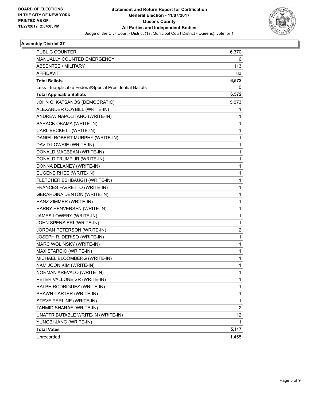

| <b>PUBLIC COUNTER</b>                                    | 6,370                   |
|----------------------------------------------------------|-------------------------|
| MANUALLY COUNTED EMERGENCY                               | 6                       |
| <b>ABSENTEE / MILITARY</b>                               | 113                     |
| AFFIDAVIT                                                | 83                      |
| <b>Total Ballots</b>                                     | 6,572                   |
| Less - Inapplicable Federal/Special Presidential Ballots | 0                       |
| <b>Total Applicable Ballots</b>                          | 6,572                   |
| JOHN C. KATSANOS (DEMOCRATIC)                            | 5,073                   |
| ALEXANDER COYBILL (WRITE-IN)                             | 1                       |
| ANDREW NAPOLITANO (WRITE-IN)                             | 1                       |
| BARACK OBAMA (WRITE-IN)                                  | 1                       |
| CARL BECKETT (WRITE-IN)                                  | 1                       |
| DANIEL ROBERT MURPHY (WRITE-IN)                          | 1                       |
| DAVID LOWRIE (WRITE-IN)                                  | $\mathbf{1}$            |
| DONALD MACBEAN (WRITE-IN)                                | 1                       |
| DONALD TRUMP JR (WRITE-IN)                               | 1                       |
| DONNA DELANEY (WRITE-IN)                                 | 1                       |
| EUGENE RHEE (WRITE-IN)                                   | 1                       |
| FLETCHER ESHBAUGH (WRITE-IN)                             | 1                       |
| FRANCES FAVRETTO (WRITE-IN)                              | 1                       |
| <b>GERARDINA DENTON (WRITE-IN)</b>                       | 1                       |
| HANZ ZIMMER (WRITE-IN)                                   | 1                       |
| HARRY HENVERSEN (WRITE-IN)                               | 1                       |
| JAMES LOWERY (WRITE-IN)                                  | 1                       |
| JOHN SPENSIERI (WRITE-IN)                                | 1                       |
| JORDAN PETERSON (WRITE-IN)                               | $\overline{\mathbf{c}}$ |
| JOSEPH R. DERISO (WRITE-IN)                              | 1                       |
| MARC WOLINSKY (WRITE-IN)                                 | 1                       |
| MAX STARCIC (WRITE-IN)                                   | 1                       |
| MICHAEL BLOOMBERG (WRITE-IN)                             | 1                       |
| NAM JOON KIM (WRITE-IN)                                  | 1                       |
| NORMAN AREVALO (WRITE-IN)                                | 1                       |
| PETER VALLONE SR (WRITE-IN)                              | 1                       |
| RALPH RODRIGUEZ (WRITE-IN)                               | 1                       |
| SHAWN CARTER (WRITE-IN)                                  | 1                       |
| STEVE PERLINE (WRITE-IN)                                 | 1                       |
| TAHMID SHARAF (WRITE-IN)                                 | $\overline{2}$          |
| UNATTRIBUTABLE WRITE-IN (WRITE-IN)                       | 12                      |
| YUNGBI JANG (WRITE-IN)                                   | 1                       |
| <b>Total Votes</b>                                       | 5,117                   |
| Unrecorded                                               | 1,455                   |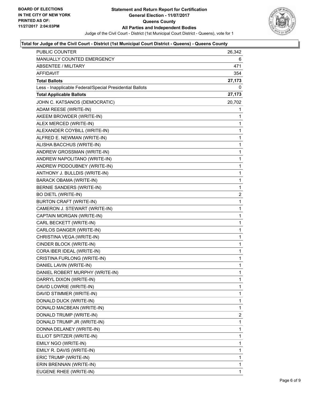

#### **Total for Judge of the Civil Court - District (1st Municipal Court District - Queens) - Queens County**

| PUBLIC COUNTER                                           | 26,342       |
|----------------------------------------------------------|--------------|
| <b>MANUALLY COUNTED EMERGENCY</b>                        | 6            |
| <b>ABSENTEE / MILITARY</b>                               | 471          |
| AFFIDAVIT                                                | 354          |
| <b>Total Ballots</b>                                     | 27,173       |
| Less - Inapplicable Federal/Special Presidential Ballots | 0            |
| <b>Total Applicable Ballots</b>                          | 27,173       |
| JOHN C. KATSANOS (DEMOCRATIC)                            | 20,702       |
| ADAM REESE (WRITE-IN)                                    | 1            |
| AKEEM BROWDER (WRITE-IN)                                 | 1            |
| ALEX MERCED (WRITE-IN)                                   | 1            |
| ALEXANDER COYBILL (WRITE-IN)                             | 1            |
| ALFRED E. NEWMAN (WRITE-IN)                              | 1            |
| ALISHA BACCHUS (WRITE-IN)                                | 1            |
| ANDREW GROSSMAN (WRITE-IN)                               | 1            |
| ANDREW NAPOLITANO (WRITE-IN)                             | $\mathbf 1$  |
| ANDREW PIDDOUBNEY (WRITE-IN)                             | 1            |
| ANTHONY J. BULLDIS (WRITE-IN)                            | 1            |
| BARACK OBAMA (WRITE-IN)                                  | $\mathbf 1$  |
| BERNIE SANDERS (WRITE-IN)                                | 1            |
| <b>BO DIETL (WRITE-IN)</b>                               | 2            |
| BURTON CRAFT (WRITE-IN)                                  | 1            |
| CAMERON J. STEWART (WRITE-IN)                            | 1            |
| CAPTAIN MORGAN (WRITE-IN)                                | 1            |
| CARL BECKETT (WRITE-IN)                                  | 1            |
| CARLOS DANGER (WRITE-IN)                                 | 1            |
| CHRISTINA VEGA (WRITE-IN)                                | 1            |
| CINDER BLOCK (WRITE-IN)                                  | $\mathbf 1$  |
| CORA IBER IDEAL (WRITE-IN)                               | 1            |
| CRISTINA FURLONG (WRITE-IN)                              | 1            |
| DANIEL LAVIN (WRITE-IN)                                  | 1            |
| DANIEL ROBERT MURPHY (WRITE-IN)                          | $\mathbf{1}$ |
| DARRYL DIXON (WRITE-IN)                                  | 1            |
| DAVID LOWRIE (WRITE-IN)                                  | 1            |
| DAVID STIMMER (WRITE-IN)                                 | 1            |
| DONALD DUCK (WRITE-IN)                                   | 1            |
| DONALD MACBEAN (WRITE-IN)                                | 1            |
| DONALD TRUMP (WRITE-IN)                                  | 2            |
| DONALD TRUMP JR (WRITE-IN)                               | 1            |
| DONNA DELANEY (WRITE-IN)                                 | 1            |
| ELLIOT SPITZER (WRITE-IN)                                | 1            |
| EMILY NGO (WRITE-IN)                                     | 1            |
| EMILY R. DAVIS (WRITE-IN)                                | 1            |
| ERIC TRUMP (WRITE-IN)                                    | 1            |
| ERIN BRENNAN (WRITE-IN)                                  | 1            |
| EUGENE RHEE (WRITE-IN)                                   | 1            |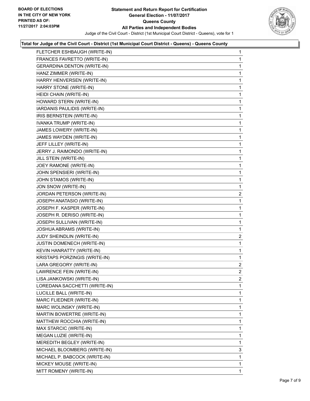

### **Total for Judge of the Civil Court - District (1st Municipal Court District - Queens) - Queens County**

| FLETCHER ESHBAUGH (WRITE-IN)       | 1              |
|------------------------------------|----------------|
| FRANCES FAVRETTO (WRITE-IN)        | 1              |
| <b>GERARDINA DENTON (WRITE-IN)</b> | 1              |
| HANZ ZIMMER (WRITE-IN)             | 1              |
| HARRY HENVERSEN (WRITE-IN)         | 1              |
| HARRY STONE (WRITE-IN)             | 1              |
| HEIDI CHAIN (WRITE-IN)             | 1              |
| HOWARD STERN (WRITE-IN)            | 1              |
| IARDANIS PAULIDIS (WRITE-IN)       | 1              |
| IRIS BERNSTEIN (WRITE-IN)          | 1              |
| IVANKA TRUMP (WRITE-IN)            | 1              |
| JAMES LOWERY (WRITE-IN)            | 1              |
| JAMES WAYDEN (WRITE-IN)            | 1              |
| JEFF LILLEY (WRITE-IN)             | 1              |
| JERRY J. RAIMONDO (WRITE-IN)       | 1              |
| JILL STEIN (WRITE-IN)              | 1              |
| JOEY RAMONE (WRITE-IN)             | 1              |
| JOHN SPENSIERI (WRITE-IN)          | 1              |
| JOHN STAMOS (WRITE-IN)             | 1              |
| JON SNOW (WRITE-IN)                | 1              |
| JORDAN PETERSON (WRITE-IN)         | 2              |
| JOSEPH ANATASIO (WRITE-IN)         | 1              |
| JOSEPH F. KASPER (WRITE-IN)        | 1              |
| JOSEPH R. DERISO (WRITE-IN)        | 1              |
| JOSEPH SULLIVAN (WRITE-IN)         | 1              |
| JOSHUA ABRAMS (WRITE-IN)           | 1              |
| JUDY SHEINDLIN (WRITE-IN)          | 2              |
| JUSTIN DOMENECH (WRITE-IN)         | 1              |
| KEVIN HANRATTY (WRITE-IN)          | 1              |
| KRISTAPS PORZINGIS (WRITE-IN)      | 1              |
| LARA GREGORY (WRITE-IN)            | $\overline{a}$ |
| LAWRENCE FEIN (WRITE-IN)           | $\overline{2}$ |
| LISA JANKOWSKI (WRITE-IN)          | 2              |
| LOREDANA SACCHETTI (WRITE-IN)      | 1              |
| LUCILLE BALL (WRITE-IN)            | 1              |
| MARC FLIEDNER (WRITE-IN)           | 1              |
| MARC WOLINSKY (WRITE-IN)           | 1              |
| MARTIN BOWERTRE (WRITE-IN)         | 1              |
| MATTHEW ROCCHIA (WRITE-IN)         | 1              |
| MAX STARCIC (WRITE-IN)             | 1              |
| MEGAN LUZIE (WRITE-IN)             | 1              |
| MEREDITH BEGLEY (WRITE-IN)         | 1              |
| MICHAEL BLOOMBERG (WRITE-IN)       | 3              |
| MICHAEL P. BABCOCK (WRITE-IN)      | 1              |
| MICKEY MOUSE (WRITE-IN)            | 1              |
| MITT ROMENY (WRITE-IN)             | 1              |
|                                    |                |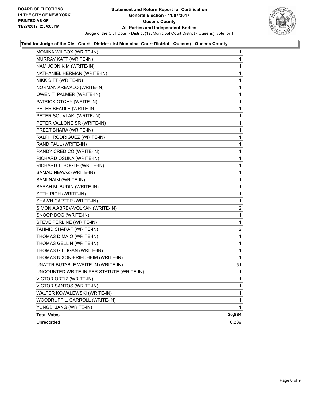

### **Total for Judge of the Civil Court - District (1st Municipal Court District - Queens) - Queens County**

| MONIKA WILCOX (WRITE-IN)                  | 1            |
|-------------------------------------------|--------------|
| MURRAY KATT (WRITE-IN)                    | 1            |
| NAM JOON KIM (WRITE-IN)                   | 1            |
| NATHANIEL HERMAN (WRITE-IN)               | 1            |
| NIKK SITT (WRITE-IN)                      | 1            |
| NORMAN AREVALO (WRITE-IN)                 | 1            |
| OWEN T. PALMER (WRITE-IN)                 | 1            |
| PATRICK OTCHY (WRITE-IN)                  | 1            |
| PETER BEADLE (WRITE-IN)                   | 1            |
| PETER SOUVLAKI (WRITE-IN)                 | 1            |
| PETER VALLONE SR (WRITE-IN)               | 1            |
| PREET BHARA (WRITE-IN)                    | 1            |
| RALPH RODRIGUEZ (WRITE-IN)                | 1            |
| RAND PAUL (WRITE-IN)                      | 1            |
| RANDY CREDICO (WRITE-IN)                  | 1            |
| RICHARD OSUNA (WRITE-IN)                  | $\mathbf{1}$ |
| RICHARD T. BOGLE (WRITE-IN)               | 1            |
| SAMAD NEWAZ (WRITE-IN)                    | 1            |
| SAMI NAIM (WRITE-IN)                      | 1            |
| SARAH M. BUDIN (WRITE-IN)                 | 1            |
| SETH RICH (WRITE-IN)                      | 1            |
| SHAWN CARTER (WRITE-IN)                   | 1            |
| SIMONIA ABREV-VOLKAN (WRITE-IN)           | 2            |
| SNOOP DOG (WRITE-IN)                      | 1            |
| STEVE PERLINE (WRITE-IN)                  | 1            |
| TAHMID SHARAF (WRITE-IN)                  | 2            |
| THOMAS DIMAIO (WRITE-IN)                  | 1            |
| THOMAS GELLIN (WRITE-IN)                  | 1            |
| THOMAS GILLIGAN (WRITE-IN)                | 1            |
| THOMAS NIXON-FRIEDHEIM (WRITE-IN)         | 1            |
| UNATTRIBUTABLE WRITE-IN (WRITE-IN)        | 51           |
| UNCOUNTED WRITE-IN PER STATUTE (WRITE-IN) | 1            |
| VICTOR ORTIZ (WRITE-IN)                   | 1            |
| VICTOR SANTOS (WRITE-IN)                  | 1            |
| WALTER KOWALEWSKI (WRITE-IN)              | 1            |
| WOODRUFF L. CARROLL (WRITE-IN)            | 1            |
| YUNGBI JANG (WRITE-IN)                    | 1            |
| <b>Total Votes</b>                        | 20,884       |
| Unrecorded                                | 6,289        |